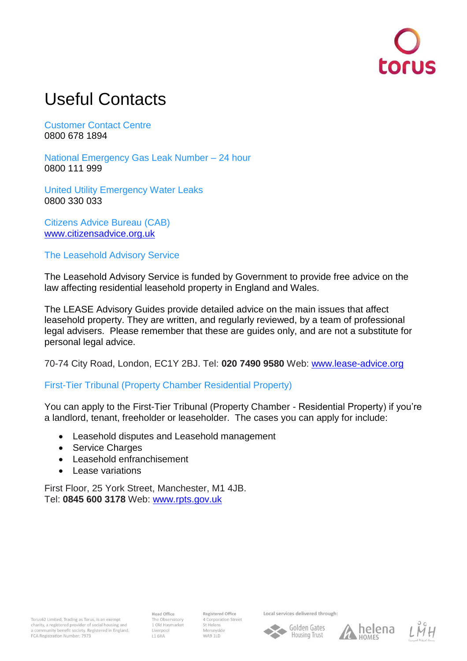## Useful Contacts

Customer Contact Centre 0800 678 1894

National Emergency Gas Leak Number – 24 hour 0800 111 999

United Utility Emergency Water Leaks 0800 330 033

Citizens Advice Bureau (CAB) [www.citizensadvice.org.uk](http://www.citizensadvice.org.uk/)

The Leasehold Advisory Service

The Leasehold Advisory Service is funded by Government to provide free advice on the law affecting residential leasehold property in England and Wales.

The LEASE Advisory Guides provide detailed advice on the main issues that affect leasehold property. They are written, and regularly reviewed, by a team of professional legal advisers. Please remember that these are guides only, and are not a substitute for personal legal advice.

70-74 City Road, London, EC1Y 2BJ. Tel: **020 7490 9580** Web: [www.lease-advice.org](http://www.lease-advice.org/)

First-Tier Tribunal (Property Chamber Residential Property)

You can apply to the First-Tier Tribunal (Property Chamber - Residential Property) if you're a landlord, tenant, freeholder or leaseholder. The cases you can apply for include:

- Leasehold disputes and Leasehold management
- Service Charges
- Leasehold enfranchisement
- Lease variations

First Floor, 25 York Street, Manchester, M1 4JB. Tel: **0845 600 3178** Web: [www.rpts.gov.uk](http://www.rpts.gov.uk/)

**Head Office** The Observatory 1 Old Haymarket **L1 6RA** 

Registered Office 4 Corporation Street St Helens Merseyside WA9 1LD

Local services delivered through:

۸